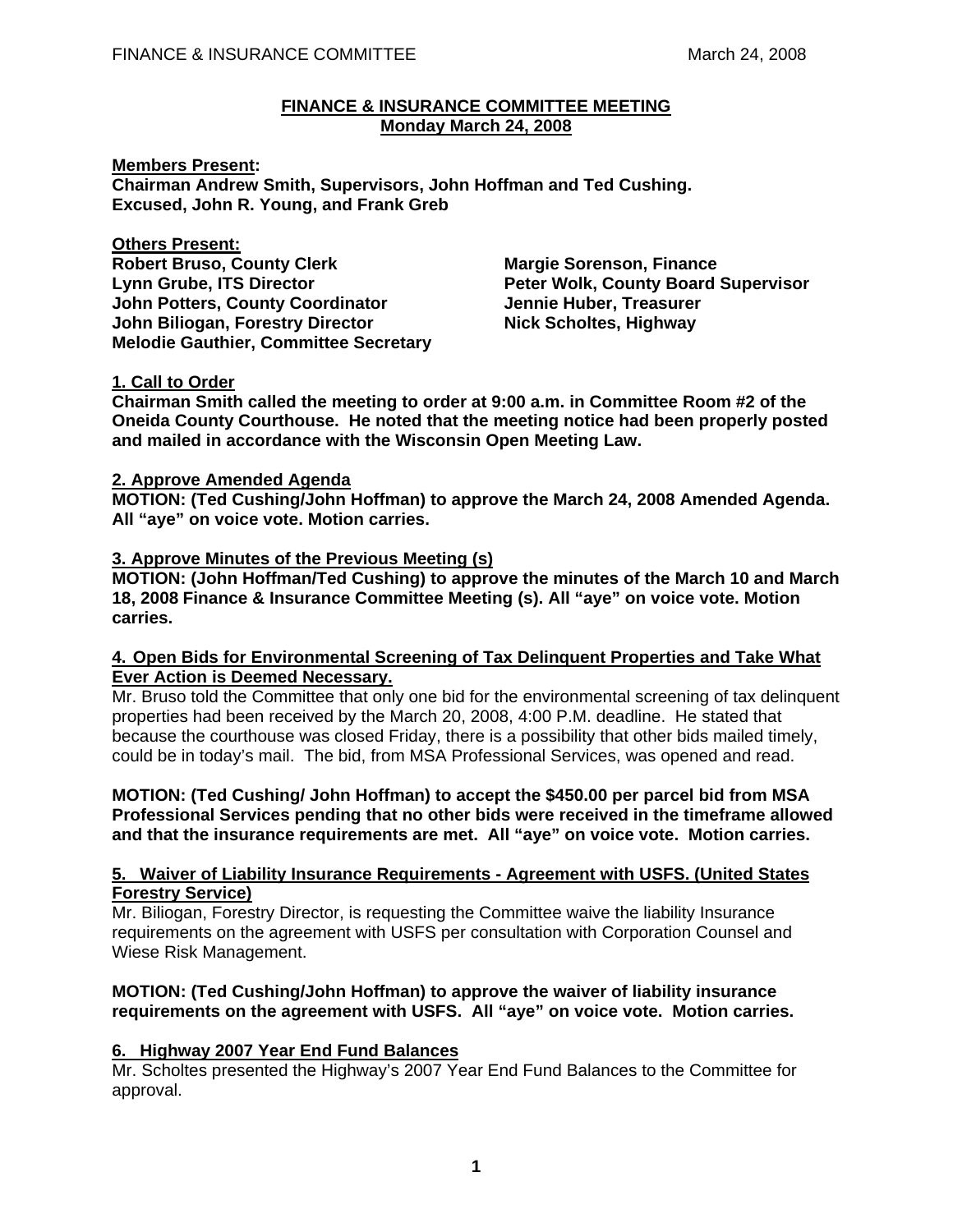#### **FINANCE & INSURANCE COMMITTEE MEETING Monday March 24, 2008**

**Members Present: Chairman Andrew Smith, Supervisors, John Hoffman and Ted Cushing. Excused, John R. Young, and Frank Greb** 

**Others Present: Robert Bruso, County Clerk Margie Sorenson, Finance** Lynn Grube, ITS Director **Peter Wolk, County Board Supervisor John Potters, County Coordinator Francisco Huber, Treasurer and August 2016 John Biliogan, Forestry Director Mick Scholtes, Highway Melodie Gauthier, Committee Secretary** 

# **1. Call to Order**

**Chairman Smith called the meeting to order at 9:00 a.m. in Committee Room #2 of the Oneida County Courthouse. He noted that the meeting notice had been properly posted and mailed in accordance with the Wisconsin Open Meeting Law.** 

### **2. Approve Amended Agenda**

**MOTION: (Ted Cushing/John Hoffman) to approve the March 24, 2008 Amended Agenda. All "aye" on voice vote. Motion carries.** 

## **3. Approve Minutes of the Previous Meeting (s)**

**MOTION: (John Hoffman/Ted Cushing) to approve the minutes of the March 10 and March 18, 2008 Finance & Insurance Committee Meeting (s). All "aye" on voice vote. Motion carries.** 

### **4. Open Bids for Environmental Screening of Tax Delinquent Properties and Take What Ever Action is Deemed Necessary.**

Mr. Bruso told the Committee that only one bid for the environmental screening of tax delinquent properties had been received by the March 20, 2008, 4:00 P.M. deadline. He stated that because the courthouse was closed Friday, there is a possibility that other bids mailed timely, could be in today's mail. The bid, from MSA Professional Services, was opened and read.

 **MOTION: (Ted Cushing/ John Hoffman) to accept the \$450.00 per parcel bid from MSA Professional Services pending that no other bids were received in the timeframe allowed and that the insurance requirements are met. All "aye" on voice vote. Motion carries.** 

### **5. Waiver of Liability Insurance Requirements - Agreement with USFS. (United States Forestry Service)**

Mr. Biliogan, Forestry Director, is requesting the Committee waive the liability Insurance requirements on the agreement with USFS per consultation with Corporation Counsel and Wiese Risk Management.

## **MOTION: (Ted Cushing/John Hoffman) to approve the waiver of liability insurance requirements on the agreement with USFS. All "aye" on voice vote. Motion carries.**

## **6. Highway 2007 Year End Fund Balances**

Mr. Scholtes presented the Highway's 2007 Year End Fund Balances to the Committee for approval.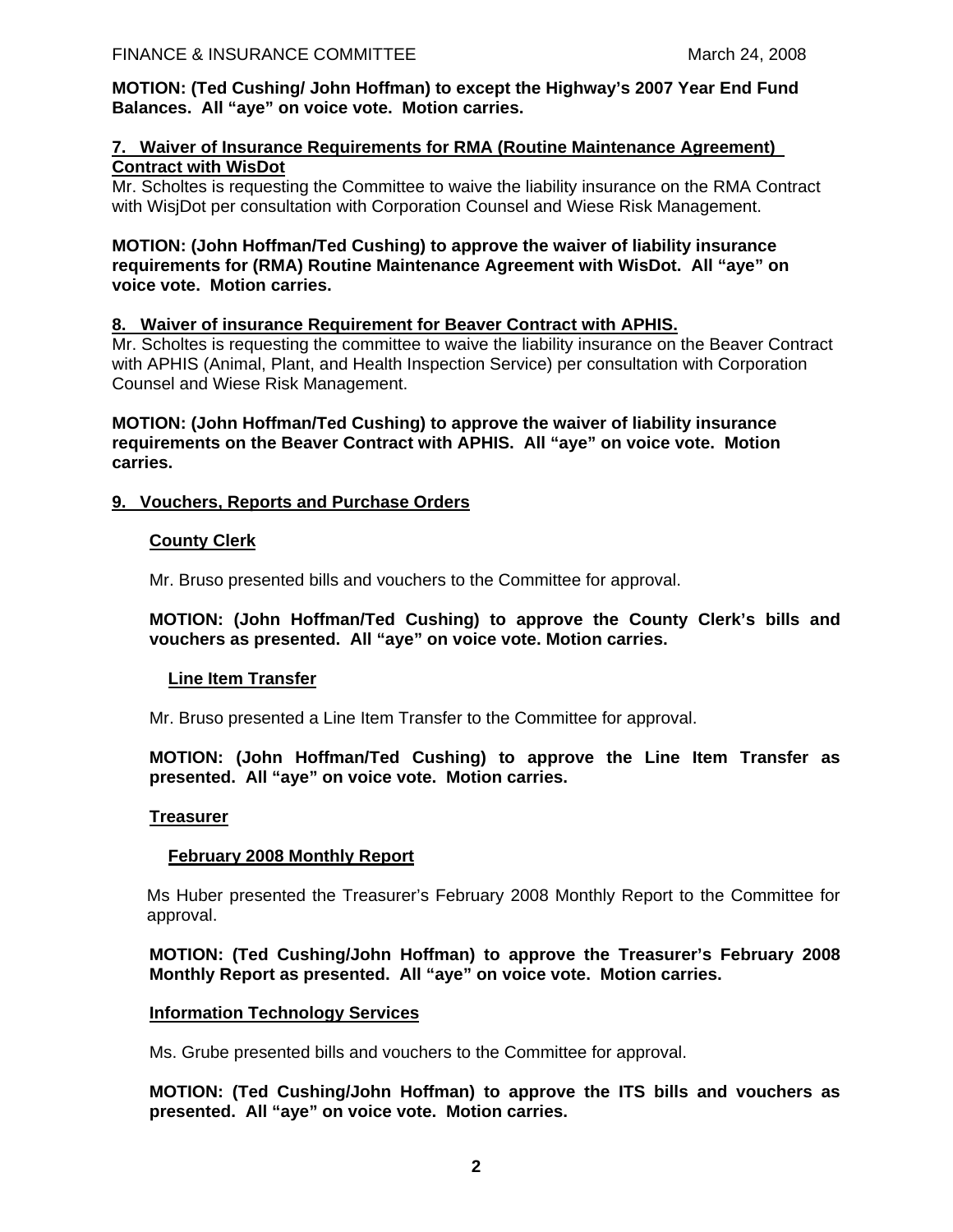**MOTION: (Ted Cushing/ John Hoffman) to except the Highway's 2007 Year End Fund Balances. All "aye" on voice vote. Motion carries.** 

## **7. Waiver of Insurance Requirements for RMA (Routine Maintenance Agreement) Contract with WisDot**

Mr. Scholtes is requesting the Committee to waive the liability insurance on the RMA Contract with WisjDot per consultation with Corporation Counsel and Wiese Risk Management.

### **MOTION: (John Hoffman/Ted Cushing) to approve the waiver of liability insurance requirements for (RMA) Routine Maintenance Agreement with WisDot. All "aye" on voice vote. Motion carries.**

## **8. Waiver of insurance Requirement for Beaver Contract with APHIS.**

Mr. Scholtes is requesting the committee to waive the liability insurance on the Beaver Contract with APHIS (Animal, Plant, and Health Inspection Service) per consultation with Corporation Counsel and Wiese Risk Management.

 **MOTION: (John Hoffman/Ted Cushing) to approve the waiver of liability insurance requirements on the Beaver Contract with APHIS. All "aye" on voice vote. Motion carries.** 

### **9. Vouchers, Reports and Purchase Orders**

### **County Clerk**

Mr. Bruso presented bills and vouchers to the Committee for approval.

### **MOTION: (John Hoffman/Ted Cushing) to approve the County Clerk's bills and vouchers as presented. All "aye" on voice vote. Motion carries.**

#### **Line Item Transfer**

Mr. Bruso presented a Line Item Transfer to the Committee for approval.

### **MOTION: (John Hoffman/Ted Cushing) to approve the Line Item Transfer as presented. All "aye" on voice vote. Motion carries.**

#### **Treasurer**

## **February 2008 Monthly Report**

Ms Huber presented the Treasurer's February 2008 Monthly Report to the Committee for approval.

## **MOTION: (Ted Cushing/John Hoffman) to approve the Treasurer's February 2008 Monthly Report as presented. All "aye" on voice vote. Motion carries.**

#### **Information Technology Services**

Ms. Grube presented bills and vouchers to the Committee for approval.

 **MOTION: (Ted Cushing/John Hoffman) to approve the ITS bills and vouchers as presented. All "aye" on voice vote. Motion carries.**